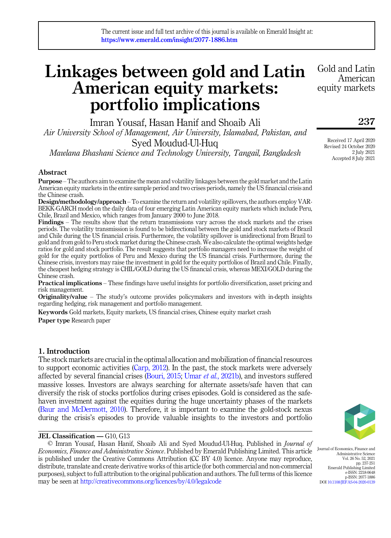# Linkages between gold and Latin American equity markets: portfolio implications

Imran Yousaf, Hasan Hanif and Shoaib Ali Air University School of Management, Air University, Islamabad, Pakistan, and Syed Moudud-Ul-Huq Mawlana Bhashani Science and Technology University, Tangail, Bangladesh

# Abstract

Purpose –The authors aim to examine the mean and volatility linkages between the gold market and the Latin American equity markets in the entire sample period and two crises periods, namely the US financial crisis and the Chinese crash.

Design/methodology/approach – To examine the return and volatility spillovers, the authors employ VAR-BEKK-GARCH model on the daily data of four emerging Latin American equity markets which include Peru, Chile, Brazil and Mexico, which ranges from January 2000 to June 2018.

Findings – The results show that the return transmissions vary across the stock markets and the crises periods. The volatility transmission is found to be bidirectional between the gold and stock markets of Brazil and Chile during the US financial crisis. Furthermore, the volatility spillover is unidirectional from Brazil to gold and from gold to Peru stock market during the Chinese crash. We also calculate the optimal weights hedge ratios for gold and stock portfolio. The result suggests that portfolio managers need to increase the weight of gold for the equity portfolios of Peru and Mexico during the US financial crisis. Furthermore, during the Chinese crisis, investors may raise the investment in gold for the equity portfolios of Brazil and Chile. Finally, the cheapest hedging strategy is CHIL/GOLD during the US financial crisis, whereas MEXI/GOLD during the Chinese crash.

Practical implications – These findings have useful insights for portfolio diversification, asset pricing and risk management.

Originality/value – The study's outcome provides policymakers and investors with in-depth insights regarding hedging, risk management and portfolio management.

Keywords Gold markets, Equity markets, US financial crises, Chinese equity market crash Paper type Research paper

# 1. Introduction

The stock markets are crucial in the optimal allocation and mobilization of financial resources to support economic activities [\(Carp, 2012\)](#page-12-0). In the past, the stock markets were adversely affected by several financial crises ([Bouri, 2015](#page-12-1); Umar et al.[, 2021b\)](#page-14-0), and investors suffered massive losses. Investors are always searching for alternate assets/safe haven that can diversify the risk of stocks portfolios during crises episodes. Gold is considered as the safehaven investment against the equities during the huge uncertainty phases of the markets ([Baur and McDermott, 2010\)](#page-12-2). Therefore, it is important to examine the gold-stock nexus during the crisis's episodes to provide valuable insights to the investors and portfolio

# JEL Classification — G10, G13

© Imran Yousaf, Hasan Hanif, Shoaib Ali and Syed Moudud-Ul-Huq. Published in Journal of Economics, Finance and Administrative Science. Published by Emerald Publishing Limited. This article is published under the Creative Commons Attribution (CC BY 4.0) licence. Anyone may reproduce, distribute, translate and create derivative works of this article (for both commercial and non-commercial purposes), subject to full attribution to the original publication and authors. The full terms of this licence may be seen at <http://creativecommons.org/licences/by/4.0/legalcode>

Gold and Latin American equity markets

237

Received 17 April 2020 Revised 24 October 2020 2 July 2021 Accepted 8 July 2021



Journal of Economics, Finance and Administrative Science Vol. 26 No. 52, 2021 pp. 237-251 Emerald Publishing Limited e-ISSN: 2218-0648 p-ISSN: 2077-1886 DOI [10.1108/JEFAS-04-2020-0139](https://doi.org/10.1108/JEFAS-04-2020-0139)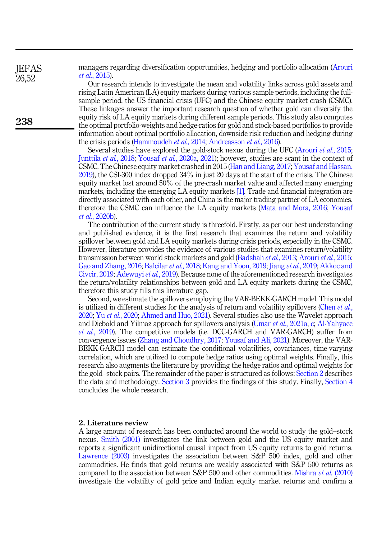managers regarding diversification opportunities, hedging and portfolio allocation ([Arouri](#page-12-3) et al.[, 2015\)](#page-12-3).

Our research intends to investigate the mean and volatility links across gold assets and rising Latin American (LA) equity markets during various sample periods, including the fullsample period, the US financial crisis (UFC) and the Chinese equity market crash (CSMC). These linkages answer the important research question of whether gold can diversify the equity risk of LA equity markets during different sample periods. This study also computes the optimal portfolio-weights and hedge-ratios for gold and stock-based portfolios to provide information about optimal portfolio allocation, downside risk reduction and hedging during the crisis periods ([Hammoudeh](#page-12-4) et al., 2014; [Andreasson](#page-12-5) et al., 2016).

Several studies have explored the gold-stock nexus during the UFC [\(Arouri](#page-12-3) *et al.*, 2015; [Junttila](#page-13-0) et al., 2018; Yousaf et al.[, 2020a,](#page-14-1) [2021\)](#page-14-2); however, studies are scant in the context of CSMC. The Chinese equity market crashed in 2015 [\(Han and Liang, 2017](#page-12-6); [Yousaf and Hassan,](#page-14-3) [2019\)](#page-14-3), the CSI-300 index dropped 34% in just 20 days at the start of the crisis. The Chinese equity market lost around 50% of the pre-crash market value and affected many emerging markets, including the emerging LA equity markets [\[1\].](#page-11-0) Trade and financial integration are directly associated with each other, and China is the major trading partner of LA economies, therefore the CSMC can influence the LA equity markets ([Mata and Mora, 2016;](#page-13-1) [Yousaf](#page-14-4) et al.[, 2020b\)](#page-14-4).

The contribution of the current study is threefold. Firstly, as per our best understanding and published evidence, it is the first research that examines the return and volatility spillover between gold and LA equity markets during crisis periods, especially in the CSMC. However, literature provides the evidence of various studies that examines return/volatility transmission between world stock markets and gold ([Badshah](#page-12-7) et al., 2013; [Arouri](#page-12-3) et al., 2015; [Gao and Zhang, 2016;](#page-12-8) [Balcilar](#page-12-9) et al., 2018; [Kang and Yoon, 2019](#page-13-2); Jiang et al.[, 2019;](#page-12-10) [Akkoc and](#page-12-11) [Civcir, 2019](#page-12-11); [Adewuyi](#page-11-1) et al., 2019). Because none of the aforementioned research investigates the return/volatility relationships between gold and LA equity markets during the CSMC, therefore this study fills this literature gap.

Second, we estimate the spillovers employing the VAR-BEKK-GARCH model. This model is utilized in different studies for the analysis of return and volatility spillovers [\(Chen](#page-12-12) *et al.*, [2020;](#page-12-12) Yu et al.[, 2020;](#page-14-5) [Ahmed and Huo, 2021\)](#page-12-13). Several studies also use the Wavelet approach and Diebold and Yilmaz approach for spillovers analysis (Umar et al.[, 2021a,](#page-13-3) [c](#page-14-6); [Al-Yahyaee](#page-12-14) et al.[, 2019\)](#page-12-14). The competitive models (i.e. DCC-GARCH and VAR-GARCH) suffer from convergence issues [\(Zhang and Choudhry, 2017](#page-14-7); [Yousaf and Ali, 2021\)](#page-14-8). Moreover, the VAR-BEKK-GARCH model can estimate the conditional volatilities, covariances, time-varying correlation, which are utilized to compute hedge ratios using optimal weights. Finally, this research also augments the literature by providing the hedge ratios and optimal weights for the gold–stock pairs. The remainder of the paper is structured as follows: [Section 2](#page-1-0) describes the data and methodology. [Section 3](#page-3-0) provides the findings of this study. Finally, [Section 4](#page-4-0) concludes the whole research.

#### <span id="page-1-0"></span>2. Literature review

A large amount of research has been conducted around the world to study the gold–stock nexus. [Smith \(2001\)](#page-13-4) investigates the link between gold and the US equity market and reports a significant unidirectional causal impact from US equity returns to gold returns. [Lawrence \(2003\)](#page-13-5) investigates the association between S&P 500 index, gold and other commodities. He finds that gold returns are weakly associated with S&P 500 returns as compared to the association between S&P 500 and other commodities. [Mishra](#page-13-6) et al. (2010) investigate the volatility of gold price and Indian equity market returns and confirm a

**IEFAS** 26,52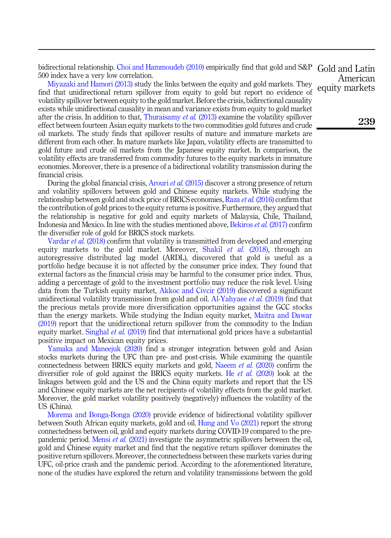bidirectional relationship. [Choi and Hammoudeh \(2010\)](#page-12-15) empirically find that gold and S&P 500 index have a very low correlation.

[Miyazaki and Hamori \(2013\)](#page-13-7) study the links between the equity and gold markets. They find that unidirectional return spillover from equity to gold but report no evidence of volatility spillover between equity to the gold market. Before the crisis, bidirectional causality exists while unidirectional causality in mean and variance exists from equity to gold market after the crisis. In addition to that, [Thuraisamy](#page-13-8) *et al.* (2013) examine the volatility spillover effect between fourteen Asian equity markets to the two commodities gold futures and crude oil markets. The study finds that spillover results of mature and immature markets are different from each other. In mature markets like Japan, volatility effects are transmitted to gold future and crude oil markets from the Japanese equity market. In comparison, the volatility effects are transferred from commodity futures to the equity markets in immature economies. Moreover, there is a presence of a bidirectional volatility transmission during the financial crisis.

During the global financial crisis, [Arouri](#page-12-3) *et al.* (2015) discover a strong presence of return and volatility spillovers between gold and Chinese equity markets. While studying the relationship between gold and stock price of BRICS economies, Raza et al. [\(2016\)](#page-13-9) confirm that the contribution of gold prices to the equity returns is positive. Furthermore, they argued that the relationship is negative for gold and equity markets of Malaysia, Chile, Thailand, Indonesia and Mexico. In line with the studies mentioned above, [Bekiros](#page-12-16) et al. (2017) confirm the diversifier role of gold for BRICS stock markets.

[Vardar](#page-14-9) *et al.* (2018) confirm that volatility is transmitted from developed and emerging equity markets to the gold market. Moreover, [Shakil](#page-13-10) *et al.* (2018), through an autoregressive distributed lag model (ARDL), discovered that gold is useful as a portfolio hedge because it is not affected by the consumer price index. They found that external factors as the financial crisis may be harmful to the consumer price index. Thus, adding a percentage of gold to the investment portfolio may reduce the risk level. Using data from the Turkish equity market, [Akkoc and Civcir \(2019\)](#page-12-11) discovered a significant unidirectional volatility transmission from gold and oil. [Al-Yahyaee](#page-12-14) et al. (2019) find that the precious metals provide more diversification opportunities against the GCC stocks than the energy markets. While studying the Indian equity market, [Maitra and Dawar](#page-13-11) [\(2019\)](#page-13-11) report that the unidirectional return spillover from the commodity to the Indian equity market. [Singhal](#page-13-12) *et al.* (2019) find that international gold prices have a substantial positive impact on Mexican equity prices.

[Yamaka and Maneejuk \(2020\)](#page-14-10) find a stronger integration between gold and Asian stocks markets during the UFC than pre- and post-crisis. While examining the quantile connectedness between BRICS equity markets and gold, [Naeem](#page-13-13) et al. (2020) confirm the diversifier role of gold against the BRICS equity markets. He *et al.* [\(2020\)](#page-12-17) look at the linkages between gold and the US and the China equity markets and report that the US and Chinese equity markets are the net recipients of volatility effects from the gold market. Moreover, the gold market volatility positively (negatively) influences the volatility of the US (China).

[Morema and Bonga-Bonga \(2020\)](#page-13-14) provide evidence of bidirectional volatility spillover between South African equity markets, gold and oil. [Hung and Vo \(2021\)](#page-12-18) report the strong connectedness between oil, gold and equity markets during COVID-19 compared to the pre-pandemic period. [Mensi](#page-13-15) et al. (2021) investigate the asymmetric spillovers between the oil, gold and Chinese equity market and find that the negative return spillover dominates the positive return spillovers. Moreover, the connectedness between these markets varies during UFC, oil-price crash and the pandemic period. According to the aforementioned literature, none of the studies have explored the return and volatility transmissions between the gold

Gold and Latin American equity markets

239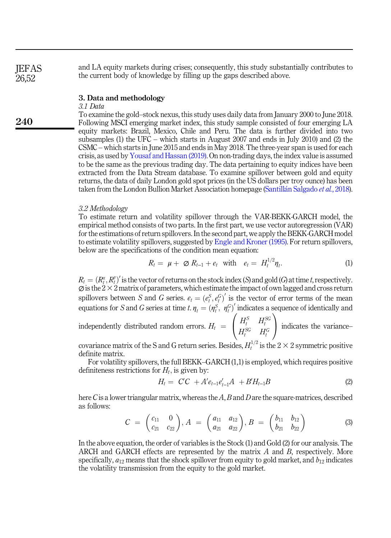and LA equity markets during crises; consequently, this study substantially contributes to the current body of knowledge by filling up the gaps described above.

# <span id="page-3-0"></span>3. Data and methodology

# 3.1 Data

To examine the gold–stock nexus, this study uses daily data from January 2000 to June 2018. Following MSCI emerging market index, this study sample consisted of four emerging LA equity markets: Brazil, Mexico, Chile and Peru. The data is further divided into two subsamples (1) the UFC – which starts in August 2007 and ends in July 2010) and (2) the CSMC – which starts in June 2015 and ends in May 2018. The three-year span is used for each crisis, as used by [Yousaf and Hassan \(2019\).](#page-14-3) On non-trading days, the index value is assumed to be the same as the previous trading day. The data pertaining to equity indices have been extracted from the Data Stream database. To examine spillover between gold and equity returns, the data of daily London gold spot prices (in the US dollars per troy ounce) has been taken from the London Bullion Market Association homepage ([Santill](#page-13-16)á[n Salgado](#page-13-16) et al., 2018).

### 3.2 Methodology

To estimate return and volatility spillover through the VAR-BEKK-GARCH model, the empirical method consists of two parts. In the first part, we use vector autoregression (VAR) for the estimations of return spillovers. In the second part, we apply the BEKK-GARCH model to estimate volatility spillovers, suggested by [Engle and Kroner \(1995\).](#page-12-19) For return spillovers, below are the specifications of the condition mean equation:

$$
R_t = \mu + \varnothing R_{t-1} + e_t \quad \text{with} \quad e_t = H_t^{1/2} \eta_t. \tag{1}
$$

 $R_t = (R_t^x, R_t^y)'$  is the vector of returns on the stock index (S) and gold (G) at time t, respectively.  $\varnothing$  is the 2  $\times$  2 matrix of parameters, which estimate the impact of own lagged and cross return spillovers between S and G series.  $e_t = (e_t^S, e_t^G)'$  is the vector of error terms of the mean  $\binom{6}{t}$ equations for S and G series at time t.  $\eta_t = (\eta_t^S, \eta_t^G)'$  indicates a sequence of identically and

independently distributed random errors.  $H_t =$  $\sqrt{2}$  $\overline{ }$  $\begin{array}{ccc} H_t^S & H_t^{SG} \ H_t^{SG} & H_t^{G} \end{array}$  $\setminus$ | indicates the variance–

covariance matrix of the S and G return series. Besides,  $H_t^{1/2}$  is the  $2 \times 2$  symmetric positive definite matrix.

For volatility spillovers, the full BEKK–GARCH (1,1) is employed, which requires positive definiteness restrictions for  $H_t$ , is given by:

$$
H_t = C'C + A'e_{t-1}e'_{t-1}A + BH_{t-1}B \tag{2}
$$

here C is a lower triangular matrix, whereas the A, B and D are the square-matrices, described as follows:

$$
C = \begin{pmatrix} c_{11} & 0 \\ c_{21} & c_{22} \end{pmatrix}, A = \begin{pmatrix} a_{11} & a_{12} \\ a_{21} & a_{22} \end{pmatrix}, B = \begin{pmatrix} b_{11} & b_{12} \\ b_{21} & b_{22} \end{pmatrix}
$$
(3)

In the above equation, the order of variables is the Stock (1) and Gold (2) for our analysis. The ARCH and GARCH effects are represented by the matrix  $A$  and  $B$ , respectively. More specifically,  $a_{12}$  means that the shock spillover from equity to gold market, and  $b_{12}$  indicates the volatility transmission from the equity to the gold market.

240

**IEFAS** 26,52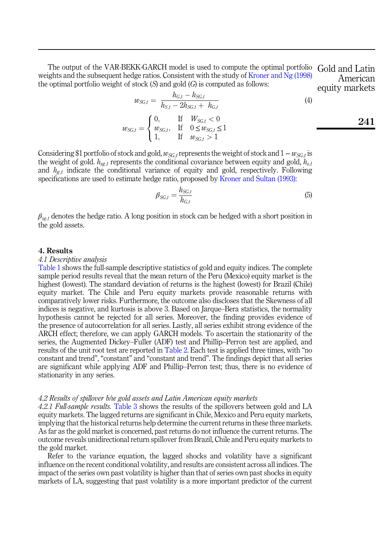The output of the VAR-BEKK-GARCH model is used to compute the optimal portfolio Gold and Latin weights and the subsequent hedge ratios. Consistent with the study of [Kroner and Ng \(1998\)](#page-13-17) the optimal portfolio weight of stock  $(S)$  and gold  $(G)$  is computed as follows:

 $\begin{aligned} w_{SG,t} = \frac{h_{G,t} - h_{SG,t}}{h_{S,t} - 2h_{SG,t} + 1} \end{aligned}$  $h_{S,t} - 2h_{SG,t} + h_{G,t}$ (4)  $w_{SG,t} =$  $\sqrt{2}$  $\overline{J}$  $\mathcal{L}$ 0, If  $W_{SG,t} < 0$  $w_{SG,t}$ , If  $0 \leq w_{SG,t} \leq 1$ 1, If  $w_{SG,t} > 1$ equity markets 241

American

Considering \$1 portfolio of stock and gold,  $w_{SCt}$  represents the weight of stock and  $1-w_{SCt}$  is the weight of gold.  $h_{s}$  represents the conditional covariance between equity and gold,  $h_{s,t}$ and  $h_{g,t}$  indicate the conditional variance of equity and gold, respectively. Following specifications are used to estimate hedge ratio, proposed by [Kroner and Sultan \(1993\):](#page-13-18)

$$
\beta_{SG,t} = \frac{h_{SG,t}}{h_{G,t}}\tag{5}
$$

 $\beta_{\text{sg},t}$  denotes the hedge ratio. A long position in stock can be hedged with a short position in the gold assets.

#### <span id="page-4-0"></span>4. Results

#### 4.1 Descriptive analysis

[Table 1](#page-5-0) shows the full-sample descriptive statistics of gold and equity indices. The complete sample period results reveal that the mean return of the Peru (Mexico) equity market is the highest (lowest). The standard deviation of returns is the highest (lowest) for Brazil (Chile) equity market. The Chile and Peru equity markets provide reasonable returns with comparatively lower risks. Furthermore, the outcome also discloses that the Skewness of all indices is negative, and kurtosis is above 3. Based on Jarque–Bera statistics, the normality hypothesis cannot be rejected for all series. Moreover, the finding provides evidence of the presence of autocorrelation for all series. Lastly, all series exhibit strong evidence of the ARCH effect; therefore, we can apply GARCH models. To ascertain the stationarity of the series, the Augmented Dickey–Fuller (ADF) test and Phillip–Perron test are applied, and results of the unit root test are reported in [Table 2](#page-6-0). Each test is applied three times, with "no constant and trend", "constant" and "constant and trend". The findings depict that all series are significant while applying ADF and Phillip–Perron test; thus, there is no evidence of stationarity in any series.

#### 4.2 Results of spillover b/w gold assets and Latin American equity markets

4.2.1 Full-sample results. [Table 3](#page-7-0) shows the results of the spillovers between gold and LA equity markets. The lagged returns are significant in Chile, Mexico and Peru equity markets, implying that the historical returns help determine the current returns in these three markets. As far as the gold market is concerned, past returns do not influence the current returns. The outcome reveals unidirectional return spillover from Brazil, Chile and Peru equity markets to the gold market.

Refer to the variance equation, the lagged shocks and volatility have a significant influence on the recent conditional volatility, and results are consistent across all indices. The impact of the series own past volatility is higher than that of series own past shocks in equity markets of LA, suggesting that past volatility is a more important predictor of the current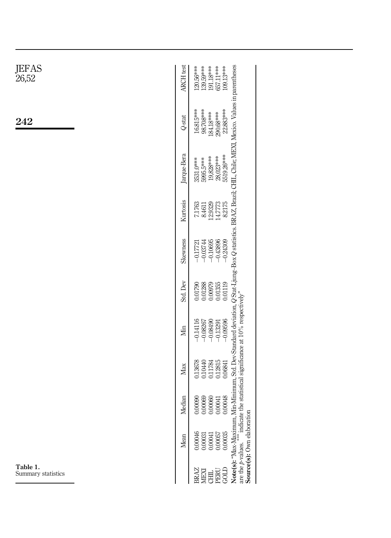<span id="page-5-0"></span>

| JEFAS<br>26,52                 | ARCH test<br>139.59***<br>191.18***<br>657.11***<br>109.13***<br>120.56***                                                                                                                                                                                                                                         |
|--------------------------------|--------------------------------------------------------------------------------------------------------------------------------------------------------------------------------------------------------------------------------------------------------------------------------------------------------------------|
| 242                            | 22.883***<br>98.708***<br>16.815***<br>184.18***<br>290.68***<br>Q-stat                                                                                                                                                                                                                                            |
|                                | Note(s): "Max-Maximum, Min-Minimum, Std. Dev-Standard deviation, Q Stat-Ljung-Box Q statistics. BRAZ, Brazil; CHIL, Chile; MEXI, Mexico. Values in parentheses<br>are the p-values. **** indicate the statistical significance at<br>Jarque-Bera<br>5519.26***<br>28,023***<br>19,828***<br>5995.5***<br>3531.0*** |
|                                | Kurtosis<br>14.7773<br>8.2175<br>12.9329<br>7.1763<br>8.4611                                                                                                                                                                                                                                                       |
|                                | Skewness<br>$-0.43896$<br>$-0.24309$<br>$-0.10695$<br>$-0.03744$<br>$-0.1772$                                                                                                                                                                                                                                      |
|                                | Std. Dev<br>0.00979<br>0.01355<br>0.01119<br>0.01288<br>0.01790                                                                                                                                                                                                                                                    |
|                                | $-0.09596$<br>$-0.08490$<br>$-0.14116$<br>$-0.13291$<br>$-0.08267$<br>Мin                                                                                                                                                                                                                                          |
|                                | 0.12815<br>0.13678<br>0.10440<br>0.11784<br>0.06841<br>Max                                                                                                                                                                                                                                                         |
|                                | Median<br>$\begin{array}{l} 0.00090 \\ 0.00060 \\ 0.00060 \\ 0.00061 \\ 0.00041 \\ 0.0041 \\ \end{array}$                                                                                                                                                                                                          |
|                                | $0.00057$<br>$0.00035$<br>0.00046<br>$0.00031$<br>$0.00041$<br>Mean                                                                                                                                                                                                                                                |
| Table 1.<br>Summary statistics | <b>BRAZ<br/>MEXI<br/>BRAZ<br/>BRAZ</b>                                                                                                                                                                                                                                                                             |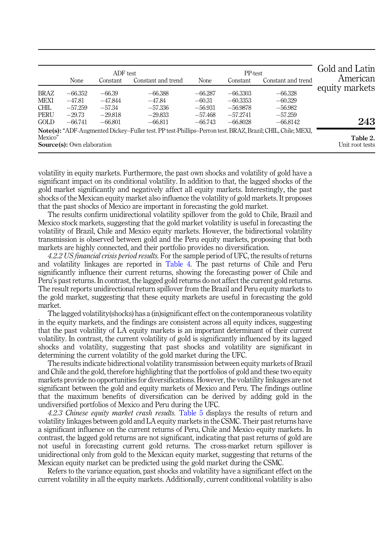<span id="page-6-0"></span>

|             |                                   | ADF test  |                                                                                                            |           | PP-test    |                    | Gold and Latin              |
|-------------|-----------------------------------|-----------|------------------------------------------------------------------------------------------------------------|-----------|------------|--------------------|-----------------------------|
|             | None                              | Constant  | Constant and trend                                                                                         | None      | Constant   | Constant and trend | American                    |
| <b>BRAZ</b> | $-66.352$                         | $-66.39$  | $-66.388$                                                                                                  | $-66.287$ | $-66.3303$ | $-66.328$          | equity markets              |
| MEXI        | $-47.81$                          | $-47.844$ | $-47.84$                                                                                                   | $-60.31$  | $-60.3353$ | $-60.329$          |                             |
| <b>CHIL</b> | $-57.259$                         | $-57.34$  | $-57.336$                                                                                                  | $-56.931$ | $-56.9878$ | $-56.982$          |                             |
| <b>PERU</b> | $-29.73$                          | $-29.818$ | $-29.833$                                                                                                  | $-57.468$ | $-57.2741$ | $-57.259$          |                             |
| GOLD        | $-66.741$                         | $-66.801$ | $-66.811$                                                                                                  | $-66.743$ | $-66.8028$ | $-66.8142$         | 243                         |
|             |                                   |           | Note(s): "ADF-Augmented Dickey-Fuller test. PP test-Phillips-Perron test. BRAZ, Brazil; CHIL, Chile; MEXI, |           |            |                    |                             |
| Mexico"     | <b>Source(s):</b> Own elaboration |           |                                                                                                            |           |            |                    | Table 2.<br>Unit root tests |

volatility in equity markets. Furthermore, the past own shocks and volatility of gold have a significant impact on its conditional volatility. In addition to that, the lagged shocks of the gold market significantly and negatively affect all equity markets. Interestingly, the past shocks of the Mexican equity market also influence the volatility of gold markets. It proposes that the past shocks of Mexico are important in forecasting the gold market.

The results confirm unidirectional volatility spillover from the gold to Chile, Brazil and Mexico stock markets, suggesting that the gold market volatility is useful in forecasting the volatility of Brazil, Chile and Mexico equity markets. However, the bidirectional volatility transmission is observed between gold and the Peru equity markets, proposing that both markets are highly connected, and their portfolio provides no diversification.

4.2.2 US financial crisis period results. For the sample period of UFC, the results of returns and volatility linkages are reported in [Table 4](#page-8-0). The past returns of Chile and Peru significantly influence their current returns, showing the forecasting power of Chile and Peru's past returns. In contrast, the lagged gold returns do not affect the current gold returns. The result reports unidirectional return spillover from the Brazil and Peru equity markets to the gold market, suggesting that these equity markets are useful in forecasting the gold market.

The lagged volatility(shocks) has a (in)significant effect on the contemporaneous volatility in the equity markets, and the findings are consistent across all equity indices, suggesting that the past volatility of LA equity markets is an important determinant of their current volatility. In contrast, the current volatility of gold is significantly influenced by its lagged shocks and volatility, suggesting that past shocks and volatility are significant in determining the current volatility of the gold market during the UFC.

The results indicate bidirectional volatility transmission between equity markets of Brazil and Chile and the gold, therefore highlighting that the portfolios of gold and these two equity markets provide no opportunities for diversifications. However, the volatility linkages are not significant between the gold and equity markets of Mexico and Peru. The findings outline that the maximum benefits of diversification can be derived by adding gold in the undiversified portfolios of Mexico and Peru during the UFC.

4.2.3 Chinese equity market crash results. [Table 5](#page-9-0) displays the results of return and volatility linkages between gold and LA equity markets in the CSMC. Their past returns have a significant influence on the current returns of Peru, Chile and Mexico equity markets. In contrast, the lagged gold returns are not significant, indicating that past returns of gold are not useful in forecasting current gold returns. The cross-market return spillover is unidirectional only from gold to the Mexican equity market, suggesting that returns of the Mexican equity market can be predicted using the gold market during the CSMC.

Refers to the variance equation, past shocks and volatility have a significant effect on the current volatility in all the equity markets. Additionally, current conditional volatility is also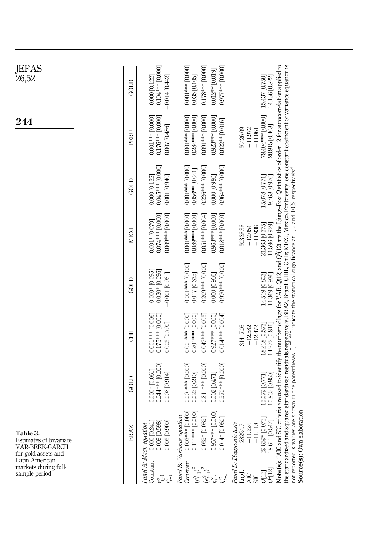<span id="page-7-0"></span>

| <b>JEFAS</b><br>26,52                                                       | GOLD        | 0.104*** [0.000]<br>$-0.014$ [0.442]<br>$0.000$ $[0.122]$                        | $0.001***$ [0.000]<br>0.178*** [0.000]<br>0.077*** [0.000]<br>0.012** [0.019]<br>$0.035$ $[0.105]$                            | 15.437 [0.750]<br>14.156 $[0.822]$                                                                                                                                                                                                                                                                                                                                                                                                                                                                                                                                             |  |
|-----------------------------------------------------------------------------|-------------|----------------------------------------------------------------------------------|-------------------------------------------------------------------------------------------------------------------------------|--------------------------------------------------------------------------------------------------------------------------------------------------------------------------------------------------------------------------------------------------------------------------------------------------------------------------------------------------------------------------------------------------------------------------------------------------------------------------------------------------------------------------------------------------------------------------------|--|
| 244                                                                         | PERU        | 0.001 *** [0.000]<br>0.176*** [0.000]<br>0.007 [0.486]                           | 0.001 *** [0.000]<br>$0.284***$ [0.000]<br>0.923*** [0.000]<br>$-0.091***$ [0.000]<br>$0.022**$ [0.016]                       | 79.404 *** [0.000]<br>20.815 [0.408]<br>30426.09<br>$-11.972$<br>$-11.861$                                                                                                                                                                                                                                                                                                                                                                                                                                                                                                     |  |
|                                                                             | GOLD        | 0.045*** [0.000]<br>0.000 [0.132]<br>0.001 [0.940]                               | 0.001 *** [0.000]<br>0.964*** [0.000]<br>$0.226***$ [0.000]<br>0.056** [0.041]<br>0.000 [0.980]                               | 9.468 [0.976]<br>15.078 [0.771]                                                                                                                                                                                                                                                                                                                                                                                                                                                                                                                                                |  |
|                                                                             | MEXI        | 0.074*** [0.000]<br>$0.009***[0.000]$<br>$0.001 * 0.079$                         | 0.963*** [0.000]<br>0.001 *** [0.000]<br>$-0.051***$ [0.004]<br>0.018*** [0.000]<br>0.089*** [0.000]                          | 21.363 [0.375]<br>11.596 [0.929]<br>30328.38<br>$-11.938$<br>$-12.054$                                                                                                                                                                                                                                                                                                                                                                                                                                                                                                         |  |
|                                                                             | GOLD        | $0.000*$ [0.095]<br>$0.030*$ [0.096]<br>$-0.001$ [0.961]                         | 0.970*** [0.000]<br>0.001 *** [0.000]<br>$0.209***$ [0.000]<br>0.017 [0.635]<br>0.000 [0.916]                                 | 14.519 [0.803]<br>11.369 [0.936]                                                                                                                                                                                                                                                                                                                                                                                                                                                                                                                                               |  |
|                                                                             | GЩ          | $0.175***$ [0.000]<br>0.001 *** [0.006]<br>0.003 [0.790]                         | 0.001 *** [0.000]<br>$-0.047***$ [0.003]<br>0.927*** [0.000]<br>0.014*** [0.004]<br>$0.201***$ [0.000]                        | 18.218 [0.573]<br>14.272 [0.816]<br>31417.05<br>$-12.582$<br>$-12.472$                                                                                                                                                                                                                                                                                                                                                                                                                                                                                                         |  |
|                                                                             | GOLD        | 0.044 *** [0.000]<br>$0.000*$ [0.061]<br>$0.002$ [0.914]                         | $0.001***$ [0.000]<br>0.211*** [0.000]<br>0.970*** [0.000]<br>0.022 [0.210]<br>0.002 [0.471]                                  | 15.079 [0.771]<br>10.835 [0.950]                                                                                                                                                                                                                                                                                                                                                                                                                                                                                                                                               |  |
| Table 3.<br>Estimates of bivariate<br>VAR-BEKK-GARCH<br>for gold assets and | <b>BRAZ</b> | $0.003$ $[0.900]$<br>$0.009$ $[0.598]$<br>0.000 [0.24]<br>Panel A: Mean equation | $0.003***00.000$<br>0.957*** [0.000<br>0.111*** [0.000<br>Panel B: Variance equation<br>$-0.039*$ [0.089]<br>$0.014*$ [0.060] | Note(s): "AIC and SIC criteria are used to identify the number of lags for VAR. Q(12) and Q <sup>2</sup> (12) are the Ljung-Box Q statistics of order 12 for autocorrelation applied to<br>the standardized and squared standardized residuals respectively. BRAZ, Brazil; CHII., Chile; MEXI, Mexico. For brevity, one constant coefficient of variance equation is not reported. $\rho$ -values are shown in the parenthe<br>$\mathbf{d}$<br>Source(s): Own elaboration<br>29.859* [0.072<br>18.611 [0.547<br>Panel D: Diagnostic tests<br>$-11.118$<br>$-11.224$<br>28294.7 |  |
| Latin American<br>markets during full-<br>sample period                     |             | Constant<br>$\delta_{\rm L}^{\rm L}$                                             | Constant<br>$(e_{t-1}^S)$                                                                                                     | 04121<br>Logi                                                                                                                                                                                                                                                                                                                                                                                                                                                                                                                                                                  |  |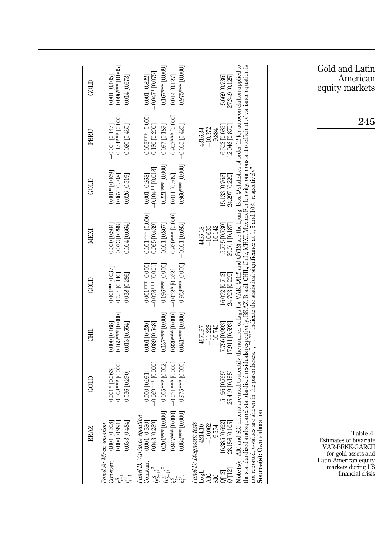<span id="page-8-0"></span>

|                           | <b>BRAZ</b>                                                                                                                                                    | GOLD                                                                                                              | CHIL                                                                                          | GOLD                                                                                                    | MEXI                                                                                         | GOLD                                                                                          | PERU                                                                                                                                                                                                                                                                                                                                                                                                                                                                                                       | GOLD                                                                                        |
|---------------------------|----------------------------------------------------------------------------------------------------------------------------------------------------------------|-------------------------------------------------------------------------------------------------------------------|-----------------------------------------------------------------------------------------------|---------------------------------------------------------------------------------------------------------|----------------------------------------------------------------------------------------------|-----------------------------------------------------------------------------------------------|------------------------------------------------------------------------------------------------------------------------------------------------------------------------------------------------------------------------------------------------------------------------------------------------------------------------------------------------------------------------------------------------------------------------------------------------------------------------------------------------------------|---------------------------------------------------------------------------------------------|
| Constant<br>$r_{\pm}^{2}$ | 0.33 [0.484]<br>0.001 [0.208]<br>0.000 [0.991]<br>Panel A: Mean equation                                                                                       | 0.108*** [0.000]<br>$0.001*$ [0.066]<br>0.036 [0.290]                                                             | $0.165***$ [0.000]<br>$-0.013$ [0.554]<br>0.000 [0.168]                                       | $0.001**$ [0.037]<br>0.054 [0.140]<br>0.038 [0.286]                                                     | 0.000 [0.504]<br>$0.033$ [0.298]<br>0.014 [0.664]                                            | $0.001 * [0.069]$<br>0.067 [0.508]<br>$0.026$ [0.519]                                         | 0.174*** [0.000]<br>$-0.020$ [0.460]<br>$-0.001$ [0.147]                                                                                                                                                                                                                                                                                                                                                                                                                                                   | 0.086*** [0.005]<br>0.014 [0.673]<br>0.001 [0.105]                                          |
| Constant<br>$(e_{t-1}^S)$ | 0.047*** [0.000<br>0.084 *** [0.000]<br>$-0.201*** 0.000$<br>Panel B: Variance equation<br>$\begin{array}{c} 0.001 \; [0.580] \\ 0.043 \; [0.289] \end{array}$ | $0.105***$ [0.002]<br>$-0.069***$ [0.000]<br>$-0.021***$ [0.000]<br>0.975*** [0.000]<br>0.000 [0.991]             | 0.920*** [0.000]<br>0.041*** [0.000]<br>$-0.137***$ [0.000]<br>0.089 [0.548]<br>0.001 [0.230] | 0.968*** [0.000]<br>0.001 *** [0.000]<br>$0.196***$ [0.000]<br>$-0.078***$ [0.001]<br>$-0.022*$ [0.062] | $-0.001***[0.000]$<br>0.065 [0.439]<br>0.960*** [0.000]<br>0.011 [0.867]<br>$-0.011$ [0.693] | 0.960*** [0.000]<br>0.221 *** [0.000]<br>$-0.104**$ [0.018]<br>0.011 [0.509]<br>0.001 [0.268] | 0.003*** [0.000]<br>0.903*** [0.000]<br>$-0.015 [0.425]$<br>0.180 [0.200]<br>$-0.097$ [0.189]                                                                                                                                                                                                                                                                                                                                                                                                              | 0.975*** [0.000]<br>0.167*** [0.009]<br>$-0.047*$ [0.075]<br>0.014 [0.127]<br>0.001 [0.822] |
| LogL<br><b>AIC</b>        | Source(s): Own elaboratio<br>16.385 [0.692]<br>28.156 [0.105]<br>Panel D: Diagnostic tests<br>$-10.062$<br>4214.10<br>$-9.574$                                 | not reported. $p$ -values are shown in the parentheses. $\hat{p}$ , $\hat{p}$<br>25.419 [0.185]<br>15.196 [0.765] | 17.911 [0.593]<br>7.756 [0.993]<br>$-10.740$<br>$-11.228$<br>4671.97                          | 24.793 [0.209]<br>16.072 [0.712]                                                                        | 29.011 [0.187]<br>15.775 [0.730]<br>$-10.142$<br>$-10.630$<br>4425.18                        | 24.297 [0.229]<br>15.133 [0.768]                                                              | Note(s): "AIC and SIC criteria are used to identify the number of lags for VAR. Q(12) and Q <sup>2</sup> (12) are the Ljung-Box Q statistics of order 12 for autocorrelation applied to<br>the standardized and squared standardized residuals respectively. BRAZ, Brazil; CHIL, Chile; MEXI, Mexico. For brevity, one constant ocefficient of variance equation is<br>not reported. <i>b</i> -values are shown in the parentheses<br>12.946 [0.879]<br>16.502 [0.685]<br>$-10.372$<br>4316.34<br>$-9.884$ | 15.669 [0.736]<br>27.349 [0.125]                                                            |
|                           |                                                                                                                                                                |                                                                                                                   |                                                                                               |                                                                                                         |                                                                                              |                                                                                               |                                                                                                                                                                                                                                                                                                                                                                                                                                                                                                            |                                                                                             |

Gold and Latin American equity markets

245

Table 4. Estimates of bivariate VAR-BEKK-GARCH for gold assets and Latin American equity markets during US financial crisis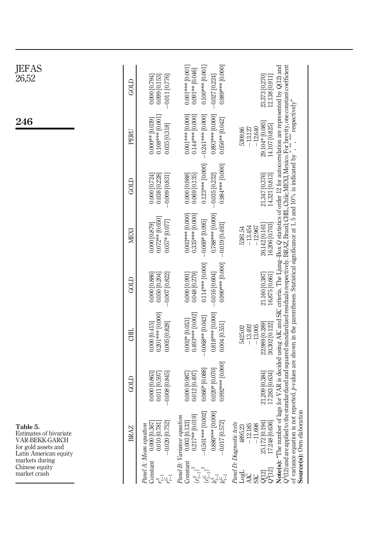<span id="page-9-0"></span>

| JEFAS<br>26,52                                                                                       | GOLD        | $-0.011$ [0.776]<br>$0.099$ $[0.153]$<br>0.000 [0.794]                                | 0.989*** [0.000]<br>$0.100***$ [0.001]<br>0.001 *** [0.001]<br>0.091 ** [0.046]<br>$-0.027$ [0.224]                          | 23.373 [0.270]<br>12.138 [0.911]                                                                                                                                                                                                                                                                                                                                                                                                                                                                               |
|------------------------------------------------------------------------------------------------------|-------------|---------------------------------------------------------------------------------------|------------------------------------------------------------------------------------------------------------------------------|----------------------------------------------------------------------------------------------------------------------------------------------------------------------------------------------------------------------------------------------------------------------------------------------------------------------------------------------------------------------------------------------------------------------------------------------------------------------------------------------------------------|
| 246                                                                                                  | PERU        | 0.108*** [0.001]<br>$0.000**00.039$<br>0.035 [0.318]                                  | 0.001 *** [0.000]<br>$-0.241***$ [0.000]<br>0.893*** [0.000]<br>0.144*** [0.000]<br>$0.056**$ [0.042]                        | Note(s): "The number of lags for VAR is decided using AIC and SIC criteria. The Ljung-Box Q statistics of order 12 for autocorrelation are represented by Q(12) and<br>$Q^2(12)$ and are applied to the standardized and squared standardized residuals respectively. BRAZ, Brazil; CHIL, Chile; MEXI, Mexico. For brevity, one constant coefficient of variance equation is not reported. p-values<br>$\operatorname{respectively}$<br>29.104* [0.085]<br>14.107 [0.825]<br>$-13.127$<br>$-12.640$<br>5309.86 |
|                                                                                                      | GOLD        | $-0.009$ [0.831]<br>$\begin{array}{c} 0.000 \ [0.724] \\ 0.038 \ [0.228] \end{array}$ | $0.123***$ [0.000]<br>0.984 *** [0.000]<br>$-0.035$ [0.232]<br>0.000 [0.988]<br>$0.069$ $[0.135]$                            | 21.347 [0.376]<br>14.321 [0.813]                                                                                                                                                                                                                                                                                                                                                                                                                                                                               |
|                                                                                                      | MEXI        | $0.072**$ [0.050]<br>$0.057*$ [0.077]<br>0.000 [0.879]                                | 0.003*** [0.000]<br>0.788*** [0.000]<br>$0.335***$ [0.000]<br>$-0.069*$ [0.095]<br>$-0.019$ [0.493]                          | 26.142 [0.161]<br>16.206 [0.703]<br>$-13.454$<br>$-12.967$<br>5381.54                                                                                                                                                                                                                                                                                                                                                                                                                                          |
|                                                                                                      | GOLD        | $-0.007$ [0.822]<br>$0.000$ $[0.886]$<br>$0.050$ $[0.204]$                            | 0.114*** [0.000]<br>0.990*** [0.000]<br>$-0.016$ [0.604]<br>0.000 [0.991]<br>0.048 [0.279]                                   | 21.160 [0.387]<br>16.875 [0.661]                                                                                                                                                                                                                                                                                                                                                                                                                                                                               |
|                                                                                                      | <b>CHIL</b> | $0.201***$ [0.000]<br>0.000 [0.415]<br>0.005 [0.828]                                  | 0.818*** [0.000]<br>0.493*** [0.002]<br>$-0.068**$ [0.042]<br>0.002*[0.053]<br>$0.004$ [0.551]                               | 22.989 [0.289]<br>30.302 [0.122]<br>$-13.005$<br>$-13.492$<br>5425.02                                                                                                                                                                                                                                                                                                                                                                                                                                          |
|                                                                                                      | GOLD        | $-0.008$ [0.845]<br>0.000 [0.863]<br>0.011 [0.597]                                    | 0.992*** [0.000]<br>0.020* [0.070]<br>$0.066*$ [0.088]<br>0.000 [0.987]<br>0.012 0.497                                       | 21.209 [0.384]<br>17.283 [0.634]                                                                                                                                                                                                                                                                                                                                                                                                                                                                               |
| Table 5.<br>Estimates of bivariate<br>VAR-BEKK-GARCH<br>for gold assets and<br>Latin American equity | <b>BRAZ</b> | $-0.020$ [0.752]<br>0.000 [0.367<br>Panel A: Mean equation<br>0.010 [0.78]            | 0.501 *** [0.002]<br>0.886*** [0.000<br>$0.217**$ [0.019]<br>Panel B: Variance equation<br>0.003 [0.133]<br>$-0.017$ [0.572] | Source(s): Own elaboration<br>25.172 [0.194]<br>17.248 [0.636]<br>Panel D: Diagnostic tests<br>$-12.185$<br>$-11.698$<br>4895.23                                                                                                                                                                                                                                                                                                                                                                               |
| markets during<br>Chinese equity<br>market crash                                                     |             | Constant<br>لكمحراث                                                                   | Constant<br>$(e_{t-1}^S)$                                                                                                    | gd                                                                                                                                                                                                                                                                                                                                                                                                                                                                                                             |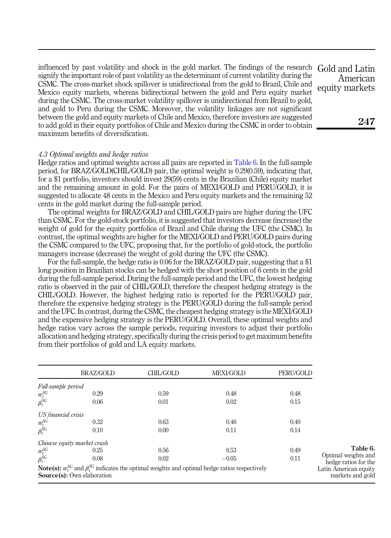influenced by past volatility and shock in the gold market. The findings of the research Gold and Latin signify the important role of past volatility as the determinant of current volatility during the CSMC. The cross-market shock spillover is unidirectional from the gold to Brazil, Chile and Mexico equity markets, whereas bidirectional between the gold and Peru equity market during the CSMC. The cross-market volatility spillover is unidirectional from Brazil to gold, and gold to Peru during the CSMC. Moreover, the volatility linkages are not significant between the gold and equity markets of Chile and Mexico, therefore investors are suggested to add gold in their equity portfolios of Chile and Mexico during the CSMC in order to obtain maximum benefits of diversification.

# 4.3 Optimal weights and hedge ratios

Hedge ratios and optimal weights across all pairs are reported in Table 6. In the full-sample period, for BRAZ/GOLD(CHIL/GOLD) pair, the optimal weight is 0.29(0.59), indicating that, for a \$1 portfolio, investors should invest 29(59) cents in the Brazilian (Chile) equity market and the remaining amount in gold. For the pairs of MEXI/GOLD and PERU/GOLD, it is suggested to allocate 48 cents in the Mexico and Peru equity markets and the remaining 52 cents in the gold market during the full-sample period.

The optimal weights for BRAZ/GOLD and CHIL/GOLD pairs are higher during the UFC than CSMC. For the gold-stock portfolio, it is suggested that investors decrease (increase) the weight of gold for the equity portfolios of Brazil and Chile during the UFC (the CSMC). In contrast, the optimal weights are higher for the MEXI/GOLD and PERU/GOLD pairs during the CSMC compared to the UFC, proposing that, for the portfolio of gold-stock, the portfolio managers increase (decrease) the weight of gold during the UFC (the CSMC).

For the full-sample, the hedge ratio is 0.06 for the BRAZ/GOLD pair, suggesting that a \$1 long position in Brazilian stocks can be hedged with the short position of 6 cents in the gold during the full-sample period. During the full-sample period and the UFC, the lowest hedging ratio is observed in the pair of CHIL/GOLD, therefore the cheapest hedging strategy is the CHIL/GOLD. However, the highest hedging ratio is reported for the PERU/GOLD pair, therefore the expensive hedging strategy is the PERU/GOLD during the full-sample period and the UFC. In contrast, during the CSMC, the cheapest hedging strategy is the MEXI/GOLD and the expensive hedging strategy is the PERU/GOLD. Overall, these optimal weights and hedge ratios vary across the sample periods, requiring investors to adjust their portfolio allocation and hedging strategy, specifically during the crisis period to get maximum benefits from their portfolios of gold and LA equity markets.

|                      | BRAZ/GOLD                                                                                                                                              | CHIL/GOLD | <b>MEXI/GOLD</b> | PERU/GOLD |                                             |
|----------------------|--------------------------------------------------------------------------------------------------------------------------------------------------------|-----------|------------------|-----------|---------------------------------------------|
| Full-sample period   |                                                                                                                                                        |           |                  |           |                                             |
| $w_t^{SG}$           | 0.29                                                                                                                                                   | 0.59      | 0.48             | 0.48      |                                             |
| $\beta_t^{\dot{S}G}$ | 0.06                                                                                                                                                   | 0.01      | 0.02             | 0.15      |                                             |
| US financial crisis  |                                                                                                                                                        |           |                  |           |                                             |
| $w_t^{SG}$           | 0.32                                                                                                                                                   | 0.63      | 0.46             | 0.40      |                                             |
| $\beta_t^{SG}$       | 0.10                                                                                                                                                   | 0.00      | 0.11             | 0.14      |                                             |
|                      | Chinese equity market crash                                                                                                                            |           |                  |           |                                             |
| $w_t^{SG}$           | 0.25                                                                                                                                                   | 0.56      | 0.53             | 0.49      | Table 6.                                    |
| $\beta_t^{SG}$       | 0.08                                                                                                                                                   | 0.02      | $-0.05$          | 0.11      | Optimal weights and<br>hedge ratios for the |
|                      | <b>Note(s):</b> $w_i^{SG}$ and $\beta_i^{SG}$ indicates the optimal weights and optimal hedge ratios respectively<br><b>Source(s):</b> Own elaboration |           |                  |           | Latin American equity<br>markets and gold   |

American equity markets

247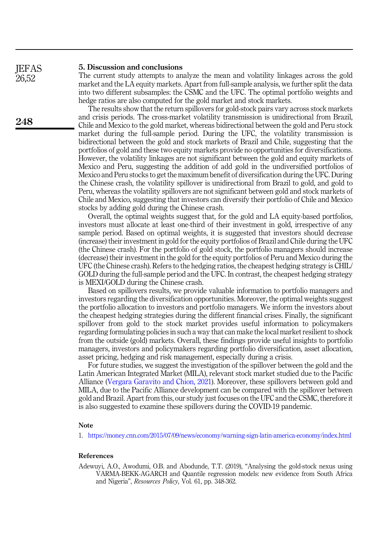#### 5. Discussion and conclusions **IEFAS**

The current study attempts to analyze the mean and volatility linkages across the gold market and the LA equity markets. Apart from full-sample analysis, we further split the data into two different subsamples: the CSMC and the UFC. The optimal portfolio weights and hedge ratios are also computed for the gold market and stock markets.

The results show that the return spillovers for gold-stock pairs vary across stock markets and crisis periods. The cross-market volatility transmission is unidirectional from Brazil, Chile and Mexico to the gold market, whereas bidirectional between the gold and Peru stock market during the full-sample period. During the UFC, the volatility transmission is bidirectional between the gold and stock markets of Brazil and Chile, suggesting that the portfolios of gold and these two equity markets provide no opportunities for diversifications. However, the volatility linkages are not significant between the gold and equity markets of Mexico and Peru, suggesting the addition of add gold in the undiversified portfolios of Mexico and Peru stocks to get the maximum benefit of diversification during the UFC. During the Chinese crash, the volatility spillover is unidirectional from Brazil to gold, and gold to Peru, whereas the volatility spillovers are not significant between gold and stock markets of Chile and Mexico, suggesting that investors can diversify their portfolio of Chile and Mexico stocks by adding gold during the Chinese crash.

Overall, the optimal weights suggest that, for the gold and LA equity-based portfolios, investors must allocate at least one-third of their investment in gold, irrespective of any sample period. Based on optimal weights, it is suggested that investors should decrease (increase) their investment in gold for the equity portfolios of Brazil and Chile during the UFC (the Chinese crash). For the portfolio of gold stock, the portfolio managers should increase (decrease) their investment in the gold for the equity portfolios of Peru and Mexico during the UFC (the Chinese crash). Refers to the hedging ratios, the cheapest hedging strategy is CHIL/ GOLD during the full-sample period and the UFC. In contrast, the cheapest hedging strategy is MEXI/GOLD during the Chinese crash.

Based on spillovers results, we provide valuable information to portfolio managers and investors regarding the diversification opportunities. Moreover, the optimal weights suggest the portfolio allocation to investors and portfolio managers. We inform the investors about the cheapest hedging strategies during the different financial crises. Finally, the significant spillover from gold to the stock market provides useful information to policymakers regarding formulating policies in such a way that can make the local market resilient to shock from the outside (gold) markets. Overall, these findings provide useful insights to portfolio managers, investors and policymakers regarding portfolio diversification, asset allocation, asset pricing, hedging and risk management, especially during a crisis.

For future studies, we suggest the investigation of the spillover between the gold and the Latin American Integrated Market (MILA), relevant stock market studied due to the Pacific Alliance ([Vergara Garavito and Chion, 2021\)](#page-14-11). Moreover, these spillovers between gold and MILA, due to the Pacific Alliance development can be compared with the spillover between gold and Brazil. Apart from this, our study just focuses on the UFC and the CSMC, therefore it is also suggested to examine these spillovers during the COVID-19 pandemic.

# Note

<span id="page-11-0"></span>1. <https://money.cnn.com/2015/07/09/news/economy/warning-sign-latin-america-economy/index.html>

### <span id="page-11-1"></span>References

Adewuyi, A.O., Awodumi, O.B. and Abodunde, T.T. (2019), "Analysing the gold-stock nexus using VARMA-BEKK-AGARCH and Quantile regression models: new evidence from South Africa and Nigeria", Resources Policy, Vol. 61, pp. 348-362.

248

26,52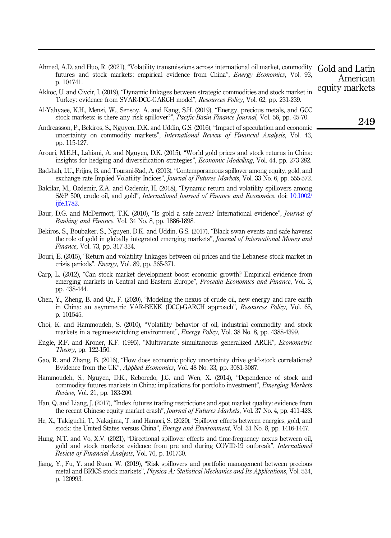- <span id="page-12-13"></span>Ahmed, A.D. and Huo, R. (2021), "Volatility transmissions across international oil market, commodity futures and stock markets: empirical evidence from China", Energy Economics, Vol. 93, p. 104741.
- <span id="page-12-11"></span>Akkoc, U. and Civcir, I. (2019), "Dynamic linkages between strategic commodities and stock market in Turkey: evidence from SVAR-DCC-GARCH model", Resources Policy, Vol. 62, pp. 231-239.
- <span id="page-12-14"></span>Al-Yahyaee, K.H., Mensi, W., Sensoy, A. and Kang, S.H. (2019), "Energy, precious metals, and GCC stock markets: is there any risk spillover?", Pacific-Basin Finance Journal, Vol. 56, pp. 45-70.
- <span id="page-12-5"></span>Andreasson, P., Bekiros, S., Nguyen, D.K. and Uddin, G.S. (2016), "Impact of speculation and economic uncertainty on commodity markets", International Review of Financial Analysis, Vol. 43, pp. 115-127.
- <span id="page-12-3"></span>Arouri, M.E.H., Lahiani, A. and Nguyen, D.K. (2015), "World gold prices and stock returns in China: insights for hedging and diversification strategies", Economic Modelling, Vol. 44, pp. 273-282.
- <span id="page-12-7"></span>Badshah, I.U., Frijns, B. and Tourani-Rad, A. (2013), "Contemporaneous spillover among equity, gold, and exchange rate Implied Volatility Indices", Journal of Futures Markets, Vol. 33 No. 6, pp. 555-572.
- <span id="page-12-9"></span>Balcilar, M., Ozdemir, Z.A. and Ozdemir, H. (2018), "Dynamic return and volatility spillovers among S&P 500, crude oil, and gold", *International Journal of Finance and Economics*, doi: [10.1002/](https://doi.org/10.1002/ijfe.1782) [ijfe.1782](https://doi.org/10.1002/ijfe.1782).
- <span id="page-12-2"></span>Baur, D.G. and McDermott, T.K. (2010), "Is gold a safe-haven? International evidence", *Journal of* Banking and Finance, Vol. 34 No. 8, pp. 1886-1898.
- <span id="page-12-16"></span>Bekiros, S., Boubaker, S., Nguyen, D.K. and Uddin, G.S. (2017), "Black swan events and safe-havens: the role of gold in globally integrated emerging markets", Journal of International Money and Finance, Vol. 73, pp. 317-334.
- <span id="page-12-1"></span>Bouri, E. (2015), "Return and volatility linkages between oil prices and the Lebanese stock market in crisis periods", Energy, Vol. 89, pp. 365-371.
- <span id="page-12-0"></span>Carp, L. (2012), "Can stock market development boost economic growth? Empirical evidence from emerging markets in Central and Eastern Europe", Procedia Economics and Finance, Vol. 3, pp. 438-444.
- <span id="page-12-12"></span>Chen, Y., Zheng, B. and Qu, F. (2020), "Modeling the nexus of crude oil, new energy and rare earth in China: an asymmetric VAR-BEKK (DCC)-GARCH approach", Resources Policy, Vol. 65, p. 101545.
- <span id="page-12-15"></span>Choi, K. and Hammoudeh, S. (2010), "Volatility behavior of oil, industrial commodity and stock markets in a regime-switching environment", Energy Policy, Vol. 38 No. 8, pp. 4388-4399.
- <span id="page-12-19"></span>Engle, R.F. and Kroner, K.F. (1995), "Multivariate simultaneous generalized ARCH", Econometric Theory, pp. 122-150.
- <span id="page-12-8"></span>Gao, R. and Zhang, B. (2016), "How does economic policy uncertainty drive gold-stock correlations? Evidence from the UK", Applied Economics, Vol. 48 No. 33, pp. 3081-3087.
- <span id="page-12-4"></span>Hammoudeh, S., Nguyen, D.K., Reboredo, J.C. and Wen, X. (2014), "Dependence of stock and commodity futures markets in China: implications for portfolio investment", *Emerging Markets* Review, Vol. 21, pp. 183-200.
- <span id="page-12-6"></span>Han, Q. and Liang, J. (2017), "Index futures trading restrictions and spot market quality: evidence from the recent Chinese equity market crash", *Journal of Futures Markets*, Vol. 37 No. 4, pp. 411-428.
- <span id="page-12-17"></span>He, X., Takiguchi, T., Nakajima, T. and Hamori, S. (2020), "Spillover effects between energies, gold, and stock: the United States versus China", Energy and Environment, Vol. 31 No. 8, pp. 1416-1447.
- <span id="page-12-18"></span>Hung, N.T. and Vo, X.V. (2021), "Directional spillover effects and time-frequency nexus between oil, gold and stock markets: evidence from pre and during COVID-19 outbreak", International Review of Financial Analysis, Vol. 76, p. 101730.
- <span id="page-12-10"></span>Jiang, Y., Fu, Y. and Ruan, W. (2019), "Risk spillovers and portfolio management between precious metal and BRICS stock markets", Physica A: Statistical Mechanics and Its Applications, Vol. 534, p. 120993.

Gold and Latin American equity markets

249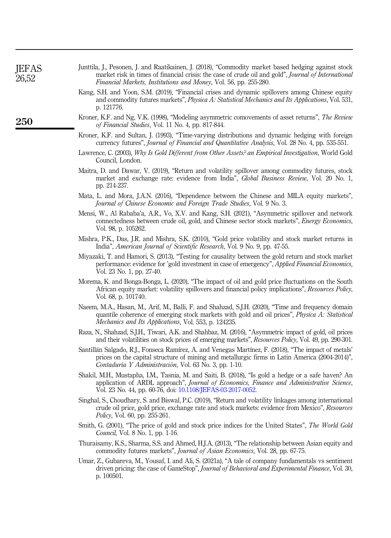<span id="page-13-18"></span><span id="page-13-17"></span><span id="page-13-16"></span><span id="page-13-15"></span><span id="page-13-14"></span><span id="page-13-13"></span><span id="page-13-12"></span><span id="page-13-11"></span><span id="page-13-10"></span><span id="page-13-9"></span><span id="page-13-8"></span><span id="page-13-7"></span><span id="page-13-6"></span><span id="page-13-5"></span><span id="page-13-4"></span><span id="page-13-3"></span><span id="page-13-2"></span><span id="page-13-1"></span><span id="page-13-0"></span>

| <b>IEFAS</b><br>26,52 | Junttila, J., Pesonen, J. and Raatikainen, J. (2018), "Commodity market based hedging against stock<br>market risk in times of financial crisis: the case of crude oil and gold", Journal of International<br>Financial Markets, Institutions and Money, Vol. 56, pp. 255-280. |
|-----------------------|--------------------------------------------------------------------------------------------------------------------------------------------------------------------------------------------------------------------------------------------------------------------------------|
|                       | Kang, S.H. and Yoon, S.M. (2019), "Financial crises and dynamic spillovers among Chinese equity<br>and commodity futures markets", Physica A: Statistical Mechanics and Its Applications, Vol. 531,<br>p. 121776.                                                              |
| 250                   | Kroner, K.F. and Ng, V.K. (1998), "Modeling asymmetric comovements of asset returns", The Review<br>of Financial Studies, Vol. 11 No. 4, pp. 817-844.                                                                                                                          |
|                       | Kroner, K.F. and Sultan, J. (1993), "Time-varying distributions and dynamic hedging with foreign<br>currency futures", Journal of Financial and Quantitative Analysis, Vol. 28 No. 4, pp. 535-551.                                                                             |
|                       | Lawrence, C. (2003), Why Is Gold Different from Other Assets? an Empirical Investigation, World Gold<br>Council, London.                                                                                                                                                       |
|                       | Maitra, D. and Dawar, V. (2019), "Return and volatility spillover among commodity futures, stock<br>market and exchange rate: evidence from India", Global Business Review, Vol. 20 No. 1,<br>pp. 214-237.                                                                     |
|                       | Mata, L. and Mora, J.A.N. (2016), "Dependence between the Chinese and MILA equity markets",<br>Journal of Chinese Economic and Foreign Trade Studies, Vol. 9 No. 3.                                                                                                            |
|                       | Mensi, W., Al Rababa'a, A.R., Vo, X.V. and Kang, S.H. (2021), "Asymmetric spillover and network<br>connectedness between crude oil, gold, and Chinese sector stock markets", <i>Energy Economics</i> ,<br>Vol. 98, p. 105262.                                                  |
|                       | Mishra, P.K., Das, J.R. and Mishra, S.K. (2010), "Gold price volatility and stock market returns in<br>India", American Journal of Scientific Research, Vol. 9 No. 9, pp. 47-55.                                                                                               |
|                       | Miyazaki, T. and Hamori, S. (2013), "Testing for causality between the gold return and stock market<br>performance: evidence for 'gold investment in case of emergency", Applied Financial Economics,<br>Vol. 23 No. 1, pp. 27-40.                                             |
|                       | Morema, K. and Bonga-Bonga, L. (2020), "The impact of oil and gold price fluctuations on the South<br>African equity market: volatility spillovers and financial policy implications", Resources Policy,<br>Vol. 68, p. 101740.                                                |
|                       | Naeem, M.A., Hasan, M., Arif, M., Balli, F. and Shahzad, S.J.H. (2020), "Time and frequency domain<br>quantile coherence of emerging stock markets with gold and oil prices", Physica A: Statistical<br><i>Mechanics and Its Applications, Vol. 553, p. 124235.</i>            |
|                       | Raza, N., Shahzad, S.J.H., Tiwari, A.K. and Shahbaz, M. (2016), "Asymmetric impact of gold, oil prices<br>and their volatilities on stock prices of emerging markets", Resources Policy, Vol. 49, pp. 290-301.                                                                 |
|                       | Santillán Salgado, R.J., Fonseca Ramírez, A. and Venegas Martínez, F. (2018), "The impact of metals"<br>prices on the capital structure of mining and metallurgic firms in Latin America (2004-2014)",<br>Contaduría Y Administración, Vol. 63 No. 3, pp. 1-10.                |
|                       | Shakil, M.H., Mustapha, I.M., Tasnia, M. and Saiti, B. (2018), "Is gold a hedge or a safe haven? An<br>application of ARDL approach", Journal of Economics, Finance and Administrative Science,<br>Vol. 23 No. 44, pp. 60-76, doi: 10.1108/JEFAS-03-2017-0052.                 |
|                       | Singhal, S., Choudhary, S. and Biswal, P.C. (2019), "Return and volatility linkages among international<br>crude oil price, gold price, exchange rate and stock markets: evidence from Mexico", Resources<br><i>Policy</i> , Vol. 60, pp. 255-261.                             |
|                       | Smith, G. (2001), "The price of gold and stock price indices for the United States", The World Gold<br><i>Council</i> , Vol. 8 No. 1, pp. 1-16.                                                                                                                                |
|                       | Thuraisamy, K.S., Sharma, S.S. and Ahmed, H.J.A. (2013), "The relationship between Asian equity and<br>commodity futures markets", <i>Journal of Asian Economics</i> , Vol. 28, pp. 67-75.                                                                                     |
|                       | Umar, Z., Gubareva, M., Yousaf, I. and Ali, S. (2021a), "A tale of company fundamentals vs sentiment<br>driven pricing: the case of GameStop", Journal of Behavioral and Experimental Finance, Vol. 30,<br>p. 100501.                                                          |
|                       |                                                                                                                                                                                                                                                                                |